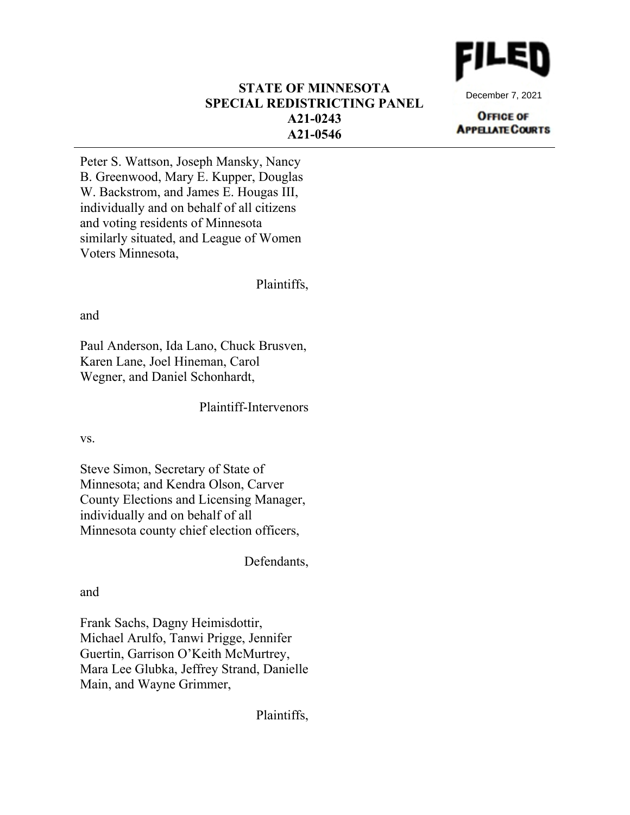

December 7, 2021

#### **OFFICE OF APPELIATE COURTS**

## **STATE OF MINNESOTA SPECIAL REDISTRICTING PANEL A21-0243 A21-0546**

Peter S. Wattson, Joseph Mansky, Nancy B. Greenwood, Mary E. Kupper, Douglas W. Backstrom, and James E. Hougas III, individually and on behalf of all citizens and voting residents of Minnesota similarly situated, and League of Women Voters Minnesota,

Plaintiffs,

and

Paul Anderson, Ida Lano, Chuck Brusven, Karen Lane, Joel Hineman, Carol Wegner, and Daniel Schonhardt,

Plaintiff-Intervenors

vs.

Steve Simon, Secretary of State of Minnesota; and Kendra Olson, Carver County Elections and Licensing Manager, individually and on behalf of all Minnesota county chief election officers,

Defendants,

and

Frank Sachs, Dagny Heimisdottir, Michael Arulfo, Tanwi Prigge, Jennifer Guertin, Garrison O'Keith McMurtrey, Mara Lee Glubka, Jeffrey Strand, Danielle Main, and Wayne Grimmer,

Plaintiffs,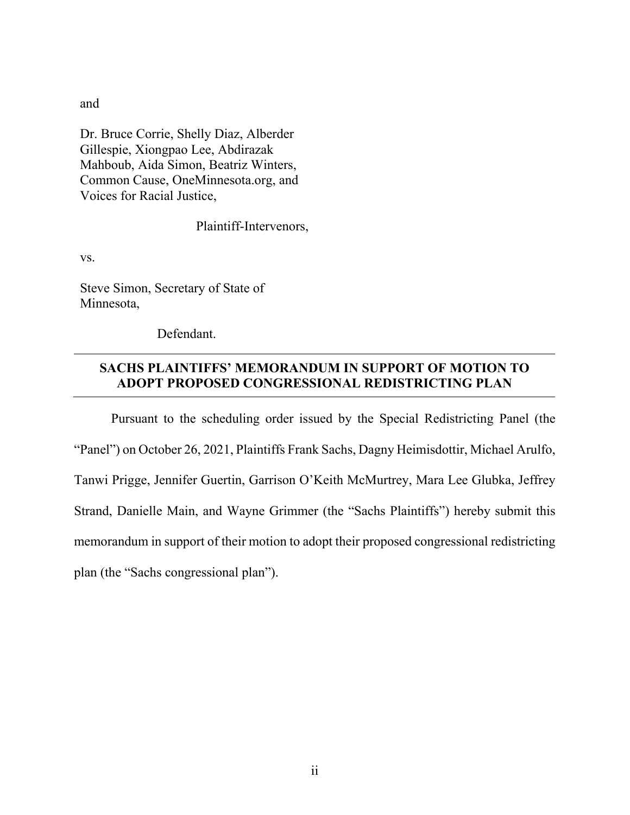and

Dr. Bruce Corrie, Shelly Diaz, Alberder Gillespie, Xiongpao Lee, Abdirazak Mahboub, Aida Simon, Beatriz Winters, Common Cause, OneMinnesota.org, and Voices for Racial Justice,

Plaintiff-Intervenors,

vs.

Steve Simon, Secretary of State of Minnesota,

Defendant.

# **SACHS PLAINTIFFS' MEMORANDUM IN SUPPORT OF MOTION TO ADOPT PROPOSED CONGRESSIONAL REDISTRICTING PLAN**

Pursuant to the scheduling order issued by the Special Redistricting Panel (the "Panel") on October 26, 2021, Plaintiffs Frank Sachs, Dagny Heimisdottir, Michael Arulfo, Tanwi Prigge, Jennifer Guertin, Garrison O'Keith McMurtrey, Mara Lee Glubka, Jeffrey Strand, Danielle Main, and Wayne Grimmer (the "Sachs Plaintiffs") hereby submit this memorandum in support of their motion to adopt their proposed congressional redistricting plan (the "Sachs congressional plan").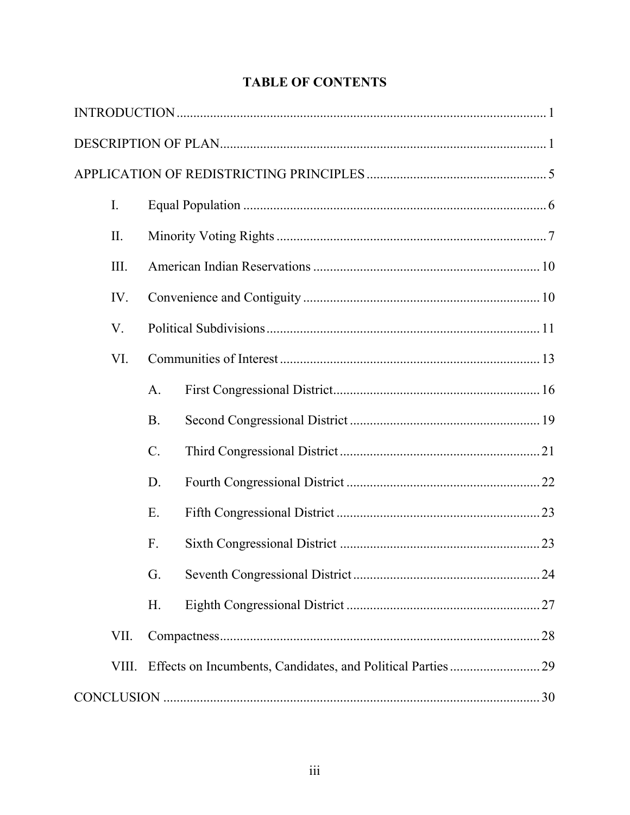| I.    |           |  |  |  |  |
|-------|-----------|--|--|--|--|
| II.   |           |  |  |  |  |
| III.  |           |  |  |  |  |
| IV.   |           |  |  |  |  |
| V.    |           |  |  |  |  |
| VI.   |           |  |  |  |  |
|       | A.        |  |  |  |  |
|       | <b>B.</b> |  |  |  |  |
|       | $C$ .     |  |  |  |  |
|       | D.        |  |  |  |  |
|       | Ε.        |  |  |  |  |
|       | F.        |  |  |  |  |
|       | G.        |  |  |  |  |
|       | Η.        |  |  |  |  |
| VII.  |           |  |  |  |  |
| VIII. |           |  |  |  |  |
|       |           |  |  |  |  |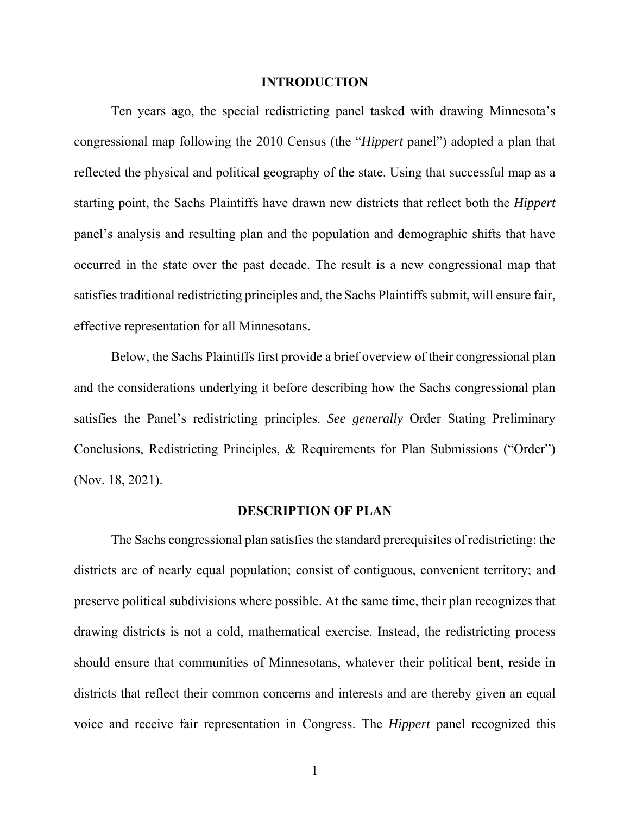#### **INTRODUCTION**

Ten years ago, the special redistricting panel tasked with drawing Minnesota's congressional map following the 2010 Census (the "*Hippert* panel") adopted a plan that reflected the physical and political geography of the state. Using that successful map as a starting point, the Sachs Plaintiffs have drawn new districts that reflect both the *Hippert* panel's analysis and resulting plan and the population and demographic shifts that have occurred in the state over the past decade. The result is a new congressional map that satisfies traditional redistricting principles and, the Sachs Plaintiffs submit, will ensure fair, effective representation for all Minnesotans.

Below, the Sachs Plaintiffs first provide a brief overview of their congressional plan and the considerations underlying it before describing how the Sachs congressional plan satisfies the Panel's redistricting principles. *See generally* Order Stating Preliminary Conclusions, Redistricting Principles, & Requirements for Plan Submissions ("Order") (Nov. 18, 2021).

#### **DESCRIPTION OF PLAN**

The Sachs congressional plan satisfies the standard prerequisites of redistricting: the districts are of nearly equal population; consist of contiguous, convenient territory; and preserve political subdivisions where possible. At the same time, their plan recognizes that drawing districts is not a cold, mathematical exercise. Instead, the redistricting process should ensure that communities of Minnesotans, whatever their political bent, reside in districts that reflect their common concerns and interests and are thereby given an equal voice and receive fair representation in Congress. The *Hippert* panel recognized this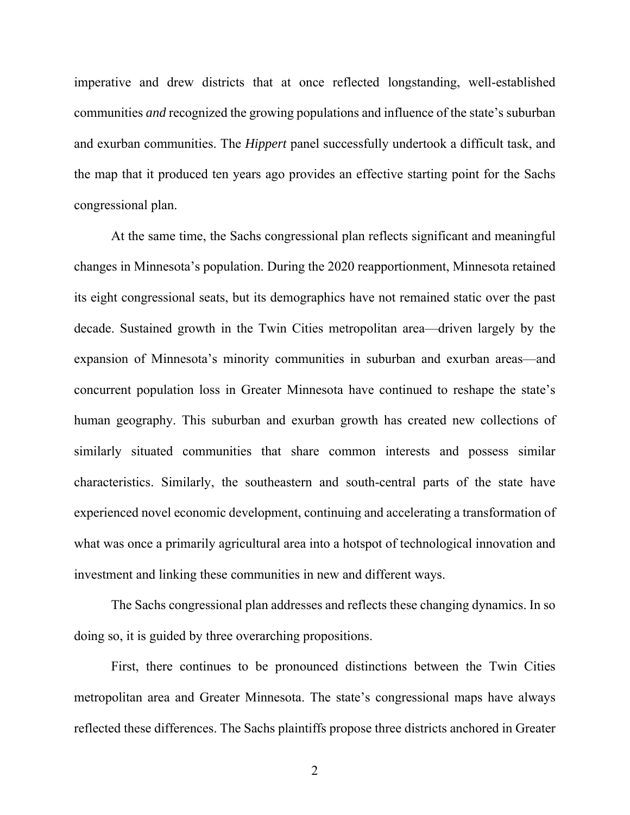imperative and drew districts that at once reflected longstanding, well-established communities *and* recognized the growing populations and influence of the state's suburban and exurban communities. The *Hippert* panel successfully undertook a difficult task, and the map that it produced ten years ago provides an effective starting point for the Sachs congressional plan.

At the same time, the Sachs congressional plan reflects significant and meaningful changes in Minnesota's population. During the 2020 reapportionment, Minnesota retained its eight congressional seats, but its demographics have not remained static over the past decade. Sustained growth in the Twin Cities metropolitan area—driven largely by the expansion of Minnesota's minority communities in suburban and exurban areas—and concurrent population loss in Greater Minnesota have continued to reshape the state's human geography. This suburban and exurban growth has created new collections of similarly situated communities that share common interests and possess similar characteristics. Similarly, the southeastern and south-central parts of the state have experienced novel economic development, continuing and accelerating a transformation of what was once a primarily agricultural area into a hotspot of technological innovation and investment and linking these communities in new and different ways.

The Sachs congressional plan addresses and reflects these changing dynamics. In so doing so, it is guided by three overarching propositions.

First, there continues to be pronounced distinctions between the Twin Cities metropolitan area and Greater Minnesota. The state's congressional maps have always reflected these differences. The Sachs plaintiffs propose three districts anchored in Greater

2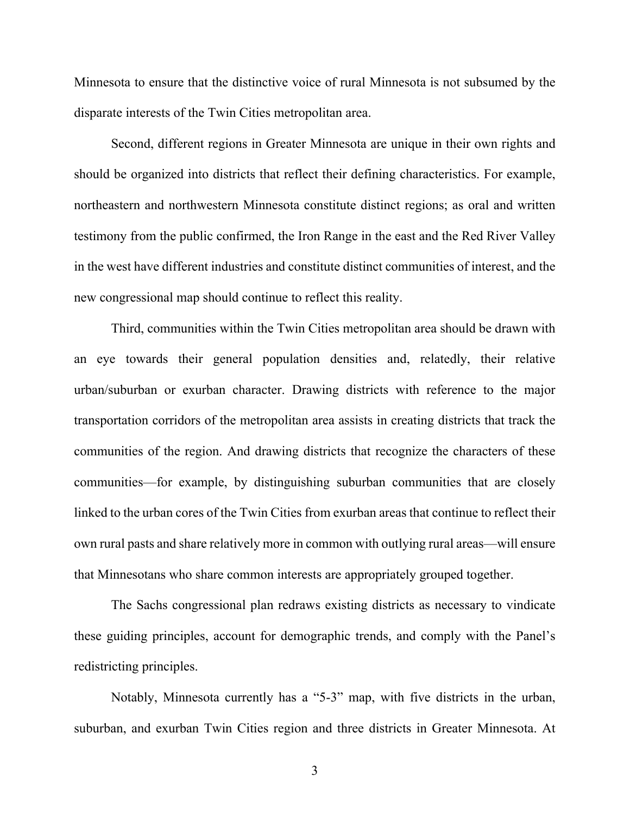Minnesota to ensure that the distinctive voice of rural Minnesota is not subsumed by the disparate interests of the Twin Cities metropolitan area.

Second, different regions in Greater Minnesota are unique in their own rights and should be organized into districts that reflect their defining characteristics. For example, northeastern and northwestern Minnesota constitute distinct regions; as oral and written testimony from the public confirmed, the Iron Range in the east and the Red River Valley in the west have different industries and constitute distinct communities of interest, and the new congressional map should continue to reflect this reality.

Third, communities within the Twin Cities metropolitan area should be drawn with an eye towards their general population densities and, relatedly, their relative urban/suburban or exurban character. Drawing districts with reference to the major transportation corridors of the metropolitan area assists in creating districts that track the communities of the region. And drawing districts that recognize the characters of these communities—for example, by distinguishing suburban communities that are closely linked to the urban cores of the Twin Cities from exurban areas that continue to reflect their own rural pasts and share relatively more in common with outlying rural areas—will ensure that Minnesotans who share common interests are appropriately grouped together.

The Sachs congressional plan redraws existing districts as necessary to vindicate these guiding principles, account for demographic trends, and comply with the Panel's redistricting principles.

Notably, Minnesota currently has a "5-3" map, with five districts in the urban, suburban, and exurban Twin Cities region and three districts in Greater Minnesota. At

3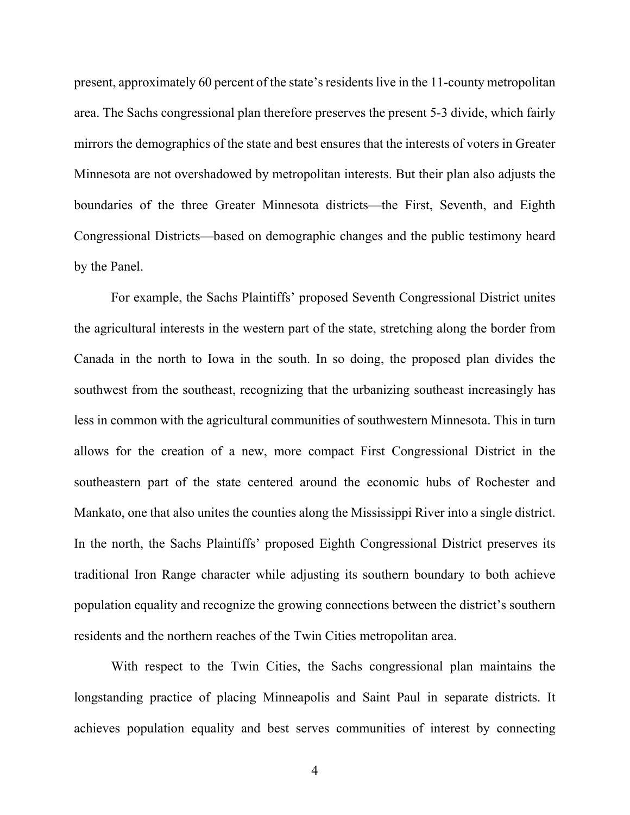present, approximately 60 percent of the state's residents live in the 11-county metropolitan area. The Sachs congressional plan therefore preserves the present 5-3 divide, which fairly mirrors the demographics of the state and best ensures that the interests of voters in Greater Minnesota are not overshadowed by metropolitan interests. But their plan also adjusts the boundaries of the three Greater Minnesota districts—the First, Seventh, and Eighth Congressional Districts—based on demographic changes and the public testimony heard by the Panel.

For example, the Sachs Plaintiffs' proposed Seventh Congressional District unites the agricultural interests in the western part of the state, stretching along the border from Canada in the north to Iowa in the south. In so doing, the proposed plan divides the southwest from the southeast, recognizing that the urbanizing southeast increasingly has less in common with the agricultural communities of southwestern Minnesota. This in turn allows for the creation of a new, more compact First Congressional District in the southeastern part of the state centered around the economic hubs of Rochester and Mankato, one that also unites the counties along the Mississippi River into a single district. In the north, the Sachs Plaintiffs' proposed Eighth Congressional District preserves its traditional Iron Range character while adjusting its southern boundary to both achieve population equality and recognize the growing connections between the district's southern residents and the northern reaches of the Twin Cities metropolitan area.

With respect to the Twin Cities, the Sachs congressional plan maintains the longstanding practice of placing Minneapolis and Saint Paul in separate districts. It achieves population equality and best serves communities of interest by connecting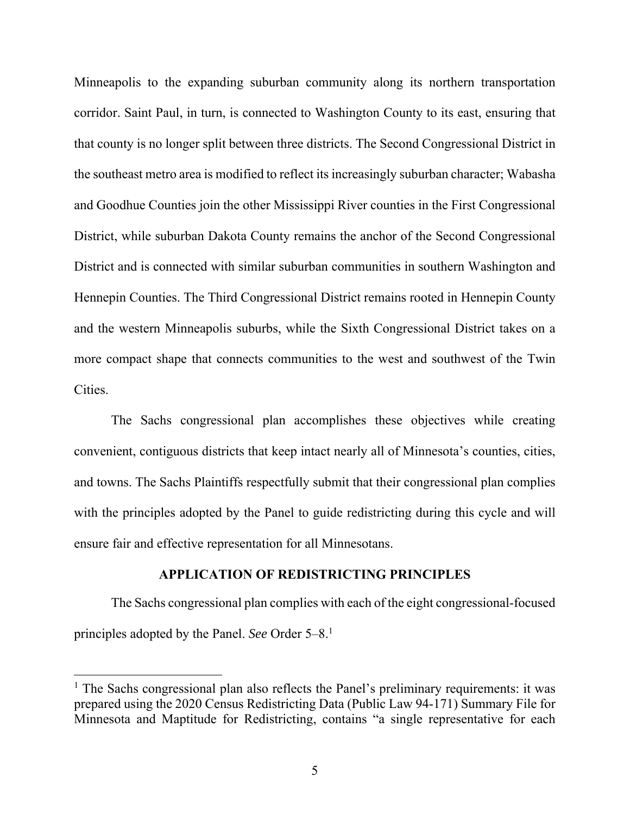Minneapolis to the expanding suburban community along its northern transportation corridor. Saint Paul, in turn, is connected to Washington County to its east, ensuring that that county is no longer split between three districts. The Second Congressional District in the southeast metro area is modified to reflect its increasingly suburban character; Wabasha and Goodhue Counties join the other Mississippi River counties in the First Congressional District, while suburban Dakota County remains the anchor of the Second Congressional District and is connected with similar suburban communities in southern Washington and Hennepin Counties. The Third Congressional District remains rooted in Hennepin County and the western Minneapolis suburbs, while the Sixth Congressional District takes on a more compact shape that connects communities to the west and southwest of the Twin Cities.

The Sachs congressional plan accomplishes these objectives while creating convenient, contiguous districts that keep intact nearly all of Minnesota's counties, cities, and towns. The Sachs Plaintiffs respectfully submit that their congressional plan complies with the principles adopted by the Panel to guide redistricting during this cycle and will ensure fair and effective representation for all Minnesotans.

### **APPLICATION OF REDISTRICTING PRINCIPLES**

The Sachs congressional plan complies with each of the eight congressional-focused principles adopted by the Panel. *See* Order 5–8.1

<sup>&</sup>lt;sup>1</sup> The Sachs congressional plan also reflects the Panel's preliminary requirements: it was prepared using the 2020 Census Redistricting Data (Public Law 94-171) Summary File for Minnesota and Maptitude for Redistricting, contains "a single representative for each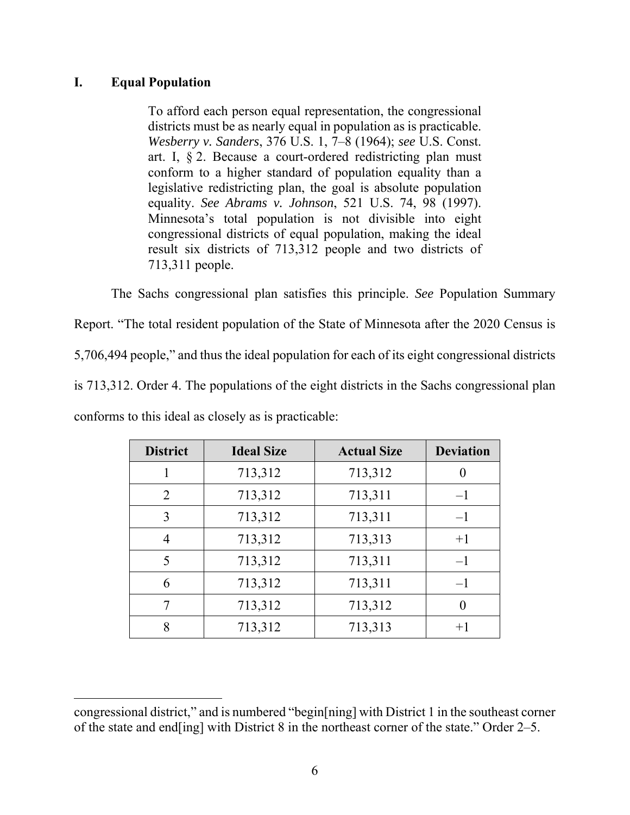## **I. Equal Population**

 $\overline{a}$ 

To afford each person equal representation, the congressional districts must be as nearly equal in population as is practicable. *Wesberry v. Sanders*, 376 U.S. 1, 7–8 (1964); *see* U.S. Const. art. I, § 2. Because a court-ordered redistricting plan must conform to a higher standard of population equality than a legislative redistricting plan, the goal is absolute population equality. *See Abrams v. Johnson*, 521 U.S. 74, 98 (1997). Minnesota's total population is not divisible into eight congressional districts of equal population, making the ideal result six districts of 713,312 people and two districts of 713,311 people.

The Sachs congressional plan satisfies this principle. *See* Population Summary Report. "The total resident population of the State of Minnesota after the 2020 Census is 5,706,494 people," and thus the ideal population for each of its eight congressional districts is 713,312. Order 4. The populations of the eight districts in the Sachs congressional plan conforms to this ideal as closely as is practicable:

| <b>District</b> | <b>Ideal Size</b> | <b>Actual Size</b> | <b>Deviation</b> |
|-----------------|-------------------|--------------------|------------------|
|                 | 713,312           | 713,312            |                  |
| 2               | 713,312           | 713,311            | $-1$             |
| 3               | 713,312           | 713,311            | $-1$             |
| 4               | 713,312           | 713,313            | $+1$             |
| 5               | 713,312           | 713,311            | $-1$             |
| 6               | 713,312           | 713,311            | $-1$             |
|                 | 713,312           | 713,312            |                  |
| 8               | 713,312           | 713,313            | $+1$             |

congressional district," and is numbered "begin[ning] with District 1 in the southeast corner of the state and end[ing] with District 8 in the northeast corner of the state." Order 2–5.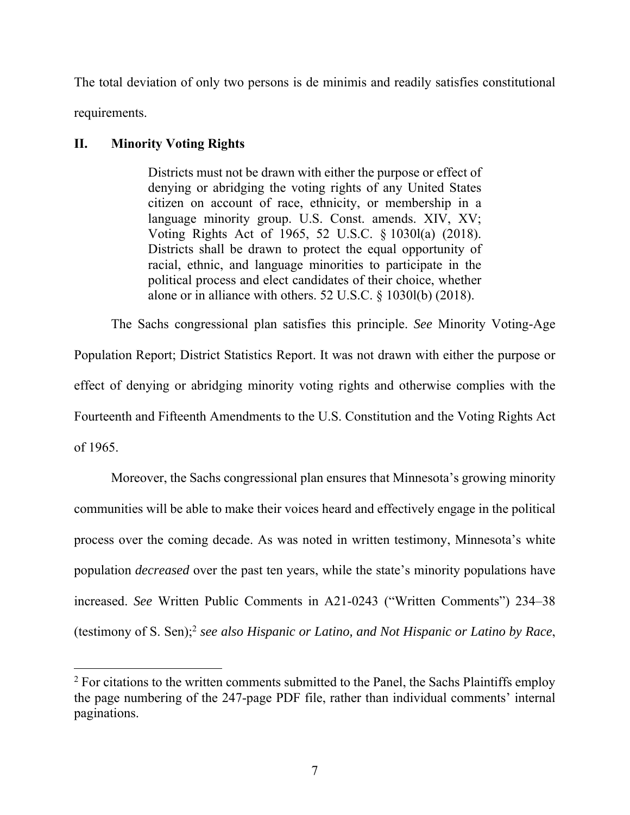The total deviation of only two persons is de minimis and readily satisfies constitutional requirements.

## **II. Minority Voting Rights**

 $\overline{a}$ 

Districts must not be drawn with either the purpose or effect of denying or abridging the voting rights of any United States citizen on account of race, ethnicity, or membership in a language minority group. U.S. Const. amends. XIV, XV; Voting Rights Act of 1965, 52 U.S.C. § 1030l(a) (2018). Districts shall be drawn to protect the equal opportunity of racial, ethnic, and language minorities to participate in the political process and elect candidates of their choice, whether alone or in alliance with others. 52 U.S.C. § 1030l(b) (2018).

The Sachs congressional plan satisfies this principle. *See* Minority Voting-Age Population Report; District Statistics Report. It was not drawn with either the purpose or effect of denying or abridging minority voting rights and otherwise complies with the Fourteenth and Fifteenth Amendments to the U.S. Constitution and the Voting Rights Act of 1965.

Moreover, the Sachs congressional plan ensures that Minnesota's growing minority communities will be able to make their voices heard and effectively engage in the political process over the coming decade. As was noted in written testimony, Minnesota's white population *decreased* over the past ten years, while the state's minority populations have increased. *See* Written Public Comments in A21-0243 ("Written Comments") 234–38 (testimony of S. Sen);2 *see also Hispanic or Latino, and Not Hispanic or Latino by Race*,

 $2$  For citations to the written comments submitted to the Panel, the Sachs Plaintiffs employ the page numbering of the 247-page PDF file, rather than individual comments' internal paginations.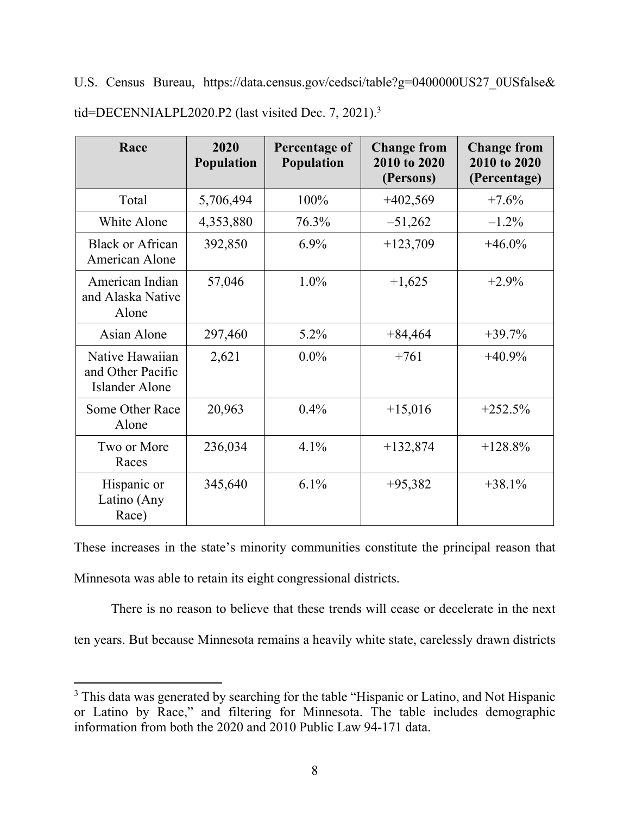U.S. Census Bureau, https://data.census.gov/cedsci/table?g=0400000US27\_0USfalse& tid=DECENNIALPL2020.P2 (last visited Dec. 7, 2021).<sup>3</sup>

| Race                                                   | 2020<br><b>Population</b> | Percentage of<br>Population | <b>Change from</b><br>2010 to 2020<br>(Persons) | <b>Change from</b><br>2010 to 2020<br>(Percentage) |
|--------------------------------------------------------|---------------------------|-----------------------------|-------------------------------------------------|----------------------------------------------------|
| Total                                                  | 5,706,494                 | 100%                        | $+402,569$                                      | $+7.6%$                                            |
| White Alone                                            | 4,353,880                 | 76.3%                       | $-51,262$                                       | $-1.2\%$                                           |
| <b>Black or African</b><br>American Alone              | 392,850                   | $6.9\%$                     | $+123,709$                                      | $+46.0\%$                                          |
| American Indian<br>and Alaska Native<br>Alone          | 57,046                    | $1.0\%$                     | $+1,625$                                        | $+2.9%$                                            |
| Asian Alone                                            | 297,460                   | $5.2\%$                     | $+84,464$                                       | $+39.7%$                                           |
| Native Hawaiian<br>and Other Pacific<br>Islander Alone | 2,621                     | $0.0\%$                     | $+761$                                          | $+40.9\%$                                          |
| Some Other Race<br>Alone                               | 20,963                    | 0.4%                        | $+15,016$                                       | $+252.5%$                                          |
| Two or More<br>Races                                   | 236,034                   | 4.1%                        | $+132,874$                                      | $+128.8%$                                          |
| Hispanic or<br>Latino (Any<br>Race)                    | 345,640                   | 6.1%                        | $+95,382$                                       | $+38.1%$                                           |

These increases in the state's minority communities constitute the principal reason that Minnesota was able to retain its eight congressional districts.

There is no reason to believe that these trends will cease or decelerate in the next ten years. But because Minnesota remains a heavily white state, carelessly drawn districts

<sup>&</sup>lt;sup>3</sup> This data was generated by searching for the table "Hispanic or Latino, and Not Hispanic or Latino by Race," and filtering for Minnesota. The table includes demographic information from both the 2020 and 2010 Public Law 94-171 data.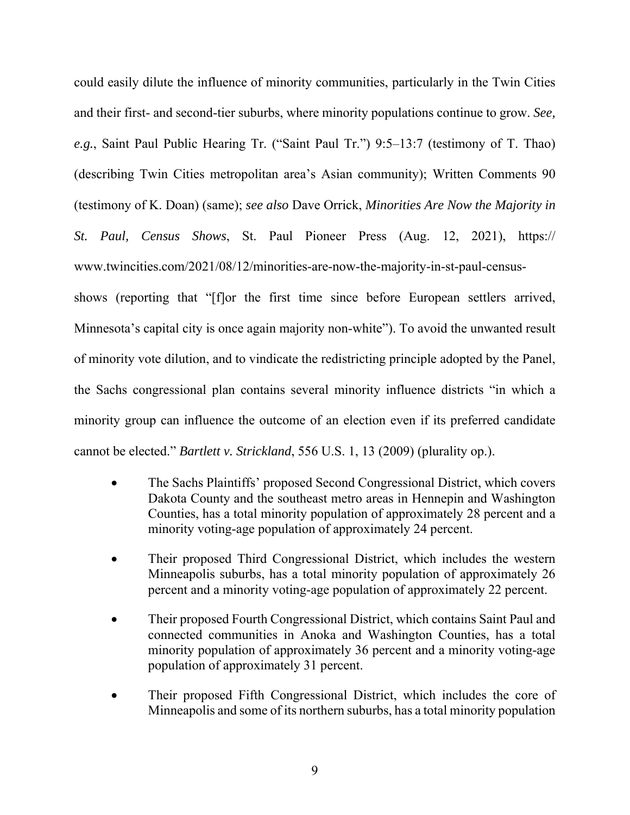could easily dilute the influence of minority communities, particularly in the Twin Cities and their first- and second-tier suburbs, where minority populations continue to grow. *See, e.g.*, Saint Paul Public Hearing Tr. ("Saint Paul Tr.") 9:5–13:7 (testimony of T. Thao) (describing Twin Cities metropolitan area's Asian community); Written Comments 90 (testimony of K. Doan) (same); *see also* Dave Orrick, *Minorities Are Now the Majority in St. Paul, Census Shows*, St. Paul Pioneer Press (Aug. 12, 2021), https:// www.twincities.com/2021/08/12/minorities-are-now-the-majority-in-st-paul-census-

shows (reporting that "[f]or the first time since before European settlers arrived, Minnesota's capital city is once again majority non-white"). To avoid the unwanted result of minority vote dilution, and to vindicate the redistricting principle adopted by the Panel, the Sachs congressional plan contains several minority influence districts "in which a minority group can influence the outcome of an election even if its preferred candidate cannot be elected." *Bartlett v. Strickland*, 556 U.S. 1, 13 (2009) (plurality op.).

- The Sachs Plaintiffs' proposed Second Congressional District, which covers Dakota County and the southeast metro areas in Hennepin and Washington Counties, has a total minority population of approximately 28 percent and a minority voting-age population of approximately 24 percent.
- Their proposed Third Congressional District, which includes the western Minneapolis suburbs, has a total minority population of approximately 26 percent and a minority voting-age population of approximately 22 percent.
- Their proposed Fourth Congressional District, which contains Saint Paul and connected communities in Anoka and Washington Counties, has a total minority population of approximately 36 percent and a minority voting-age population of approximately 31 percent.
- Their proposed Fifth Congressional District, which includes the core of Minneapolis and some of its northern suburbs, has a total minority population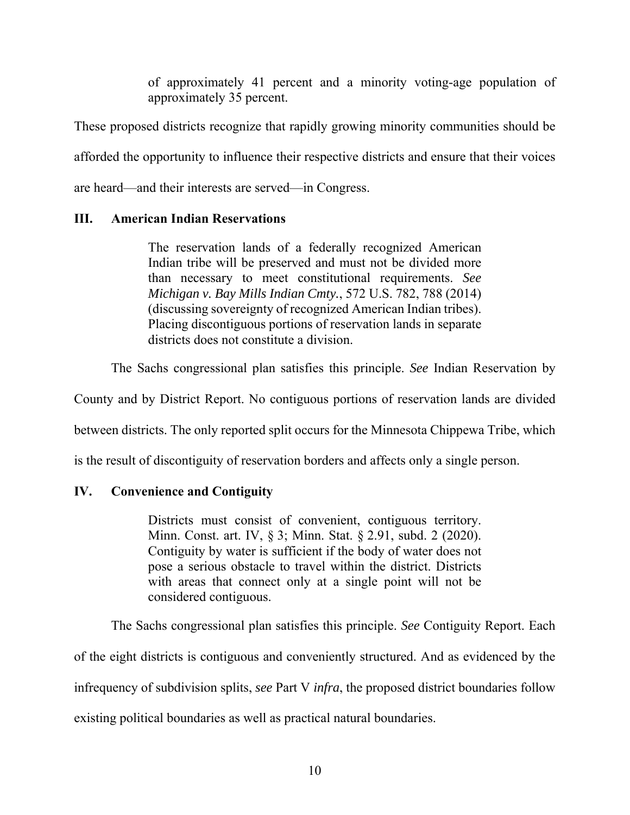of approximately 41 percent and a minority voting-age population of approximately 35 percent.

These proposed districts recognize that rapidly growing minority communities should be afforded the opportunity to influence their respective districts and ensure that their voices are heard—and their interests are served—in Congress.

# **III. American Indian Reservations**

The reservation lands of a federally recognized American Indian tribe will be preserved and must not be divided more than necessary to meet constitutional requirements. *See Michigan v. Bay Mills Indian Cmty.*, 572 U.S. 782, 788 (2014) (discussing sovereignty of recognized American Indian tribes). Placing discontiguous portions of reservation lands in separate districts does not constitute a division.

The Sachs congressional plan satisfies this principle. *See* Indian Reservation by

County and by District Report. No contiguous portions of reservation lands are divided

between districts. The only reported split occurs for the Minnesota Chippewa Tribe, which

is the result of discontiguity of reservation borders and affects only a single person.

# **IV. Convenience and Contiguity**

Districts must consist of convenient, contiguous territory. Minn. Const. art. IV, § 3; Minn. Stat. § 2.91, subd. 2 (2020). Contiguity by water is sufficient if the body of water does not pose a serious obstacle to travel within the district. Districts with areas that connect only at a single point will not be considered contiguous.

The Sachs congressional plan satisfies this principle. *See* Contiguity Report. Each of the eight districts is contiguous and conveniently structured. And as evidenced by the infrequency of subdivision splits, *see* Part V *infra*, the proposed district boundaries follow existing political boundaries as well as practical natural boundaries.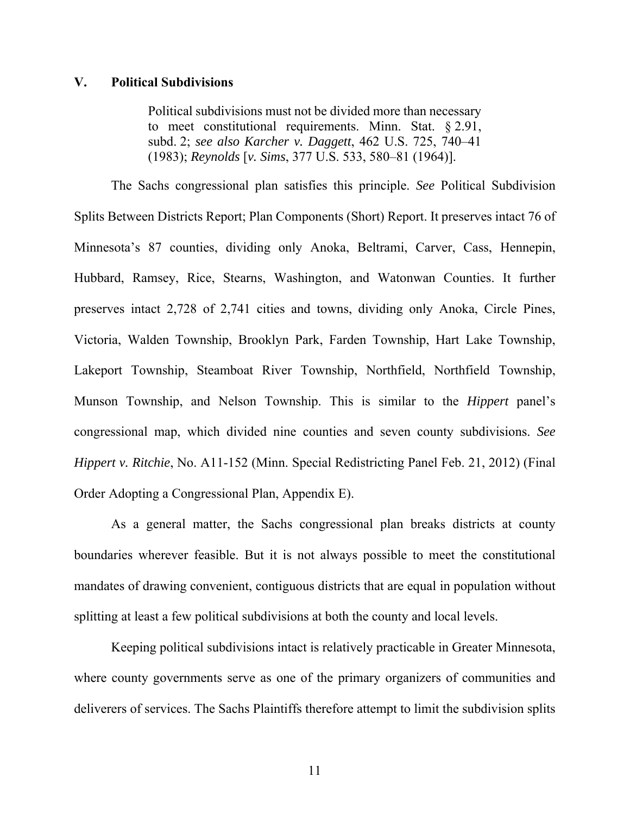### **V. Political Subdivisions**

Political subdivisions must not be divided more than necessary to meet constitutional requirements. Minn. Stat. § 2.91, subd. 2; *see also Karcher v. Daggett*, 462 U.S. 725, 740–41 (1983); *Reynolds* [*v. Sims*, 377 U.S. 533, 580–81 (1964)].

The Sachs congressional plan satisfies this principle. *See* Political Subdivision Splits Between Districts Report; Plan Components (Short) Report. It preserves intact 76 of Minnesota's 87 counties, dividing only Anoka, Beltrami, Carver, Cass, Hennepin, Hubbard, Ramsey, Rice, Stearns, Washington, and Watonwan Counties. It further preserves intact 2,728 of 2,741 cities and towns, dividing only Anoka, Circle Pines, Victoria, Walden Township, Brooklyn Park, Farden Township, Hart Lake Township, Lakeport Township, Steamboat River Township, Northfield, Northfield Township, Munson Township, and Nelson Township. This is similar to the *Hippert* panel's congressional map, which divided nine counties and seven county subdivisions. *See Hippert v. Ritchie*, No. A11-152 (Minn. Special Redistricting Panel Feb. 21, 2012) (Final Order Adopting a Congressional Plan, Appendix E).

As a general matter, the Sachs congressional plan breaks districts at county boundaries wherever feasible. But it is not always possible to meet the constitutional mandates of drawing convenient, contiguous districts that are equal in population without splitting at least a few political subdivisions at both the county and local levels.

Keeping political subdivisions intact is relatively practicable in Greater Minnesota, where county governments serve as one of the primary organizers of communities and deliverers of services. The Sachs Plaintiffs therefore attempt to limit the subdivision splits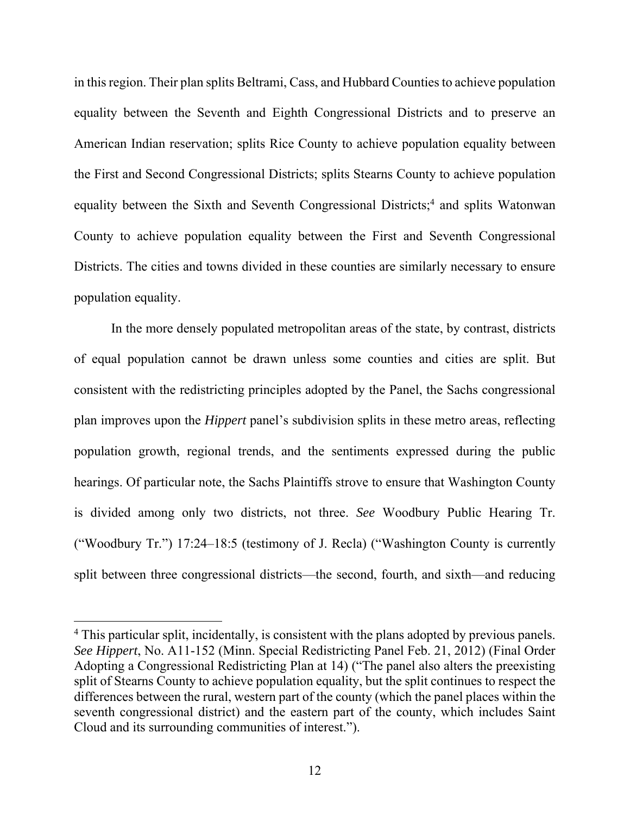in this region. Their plan splits Beltrami, Cass, and Hubbard Counties to achieve population equality between the Seventh and Eighth Congressional Districts and to preserve an American Indian reservation; splits Rice County to achieve population equality between the First and Second Congressional Districts; splits Stearns County to achieve population equality between the Sixth and Seventh Congressional Districts;<sup>4</sup> and splits Watonwan County to achieve population equality between the First and Seventh Congressional Districts. The cities and towns divided in these counties are similarly necessary to ensure population equality.

In the more densely populated metropolitan areas of the state, by contrast, districts of equal population cannot be drawn unless some counties and cities are split. But consistent with the redistricting principles adopted by the Panel, the Sachs congressional plan improves upon the *Hippert* panel's subdivision splits in these metro areas, reflecting population growth, regional trends, and the sentiments expressed during the public hearings. Of particular note, the Sachs Plaintiffs strove to ensure that Washington County is divided among only two districts, not three. *See* Woodbury Public Hearing Tr. ("Woodbury Tr.") 17:24–18:5 (testimony of J. Recla) ("Washington County is currently split between three congressional districts—the second, fourth, and sixth—and reducing

<sup>&</sup>lt;sup>4</sup> This particular split, incidentally, is consistent with the plans adopted by previous panels. *See Hippert*, No. A11-152 (Minn. Special Redistricting Panel Feb. 21, 2012) (Final Order Adopting a Congressional Redistricting Plan at 14) ("The panel also alters the preexisting split of Stearns County to achieve population equality, but the split continues to respect the differences between the rural, western part of the county (which the panel places within the seventh congressional district) and the eastern part of the county, which includes Saint Cloud and its surrounding communities of interest.").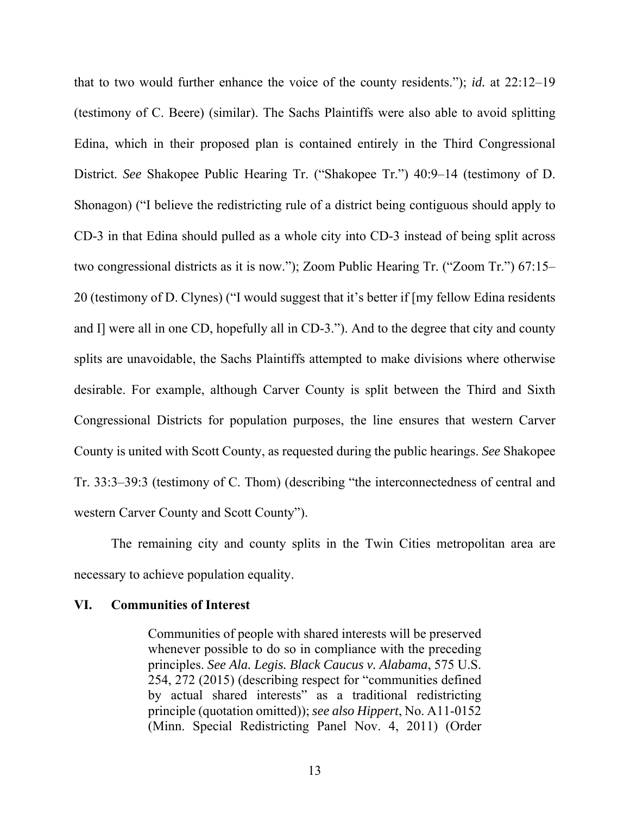that to two would further enhance the voice of the county residents."); *id.* at 22:12–19 (testimony of C. Beere) (similar). The Sachs Plaintiffs were also able to avoid splitting Edina, which in their proposed plan is contained entirely in the Third Congressional District. *See* Shakopee Public Hearing Tr. ("Shakopee Tr.") 40:9–14 (testimony of D. Shonagon) ("I believe the redistricting rule of a district being contiguous should apply to CD-3 in that Edina should pulled as a whole city into CD-3 instead of being split across two congressional districts as it is now."); Zoom Public Hearing Tr. ("Zoom Tr.") 67:15– 20 (testimony of D. Clynes) ("I would suggest that it's better if [my fellow Edina residents and I] were all in one CD, hopefully all in CD-3."). And to the degree that city and county splits are unavoidable, the Sachs Plaintiffs attempted to make divisions where otherwise desirable. For example, although Carver County is split between the Third and Sixth Congressional Districts for population purposes, the line ensures that western Carver County is united with Scott County, as requested during the public hearings. *See* Shakopee Tr. 33:3–39:3 (testimony of C. Thom) (describing "the interconnectedness of central and western Carver County and Scott County").

The remaining city and county splits in the Twin Cities metropolitan area are necessary to achieve population equality.

#### **VI. Communities of Interest**

Communities of people with shared interests will be preserved whenever possible to do so in compliance with the preceding principles. *See Ala. Legis. Black Caucus v. Alabama*, 575 U.S. 254, 272 (2015) (describing respect for "communities defined by actual shared interests" as a traditional redistricting principle (quotation omitted)); *see also Hippert*, No. A11-0152 (Minn. Special Redistricting Panel Nov. 4, 2011) (Order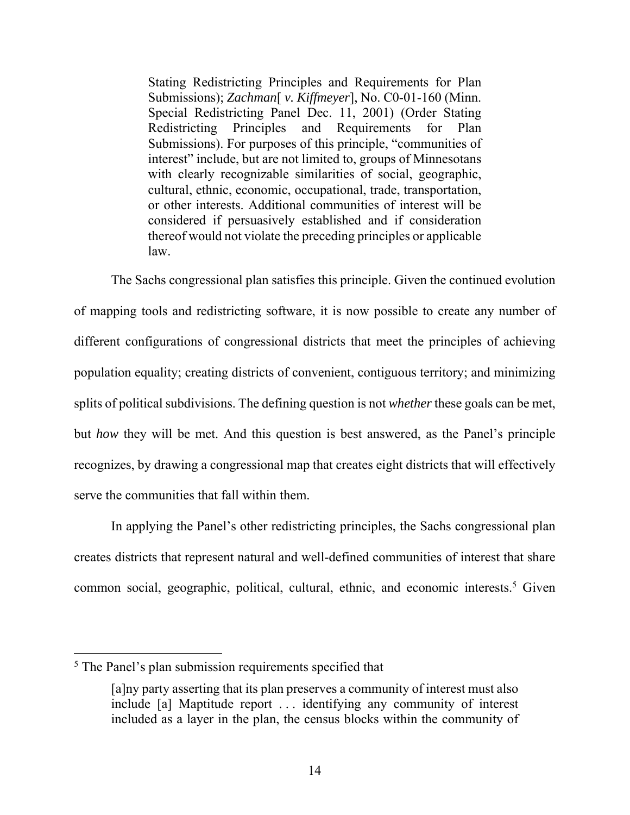Stating Redistricting Principles and Requirements for Plan Submissions); *Zachman*[ *v. Kiffmeyer*], No. C0-01-160 (Minn. Special Redistricting Panel Dec. 11, 2001) (Order Stating Redistricting Principles and Requirements for Plan Submissions). For purposes of this principle, "communities of interest" include, but are not limited to, groups of Minnesotans with clearly recognizable similarities of social, geographic, cultural, ethnic, economic, occupational, trade, transportation, or other interests. Additional communities of interest will be considered if persuasively established and if consideration thereof would not violate the preceding principles or applicable law.

The Sachs congressional plan satisfies this principle. Given the continued evolution of mapping tools and redistricting software, it is now possible to create any number of different configurations of congressional districts that meet the principles of achieving population equality; creating districts of convenient, contiguous territory; and minimizing splits of political subdivisions. The defining question is not *whether* these goals can be met, but *how* they will be met. And this question is best answered, as the Panel's principle recognizes, by drawing a congressional map that creates eight districts that will effectively serve the communities that fall within them.

In applying the Panel's other redistricting principles, the Sachs congressional plan creates districts that represent natural and well-defined communities of interest that share common social, geographic, political, cultural, ethnic, and economic interests.<sup>5</sup> Given

<sup>&</sup>lt;sup>5</sup> The Panel's plan submission requirements specified that

<sup>[</sup>a]ny party asserting that its plan preserves a community of interest must also include [a] Maptitude report . . . identifying any community of interest included as a layer in the plan, the census blocks within the community of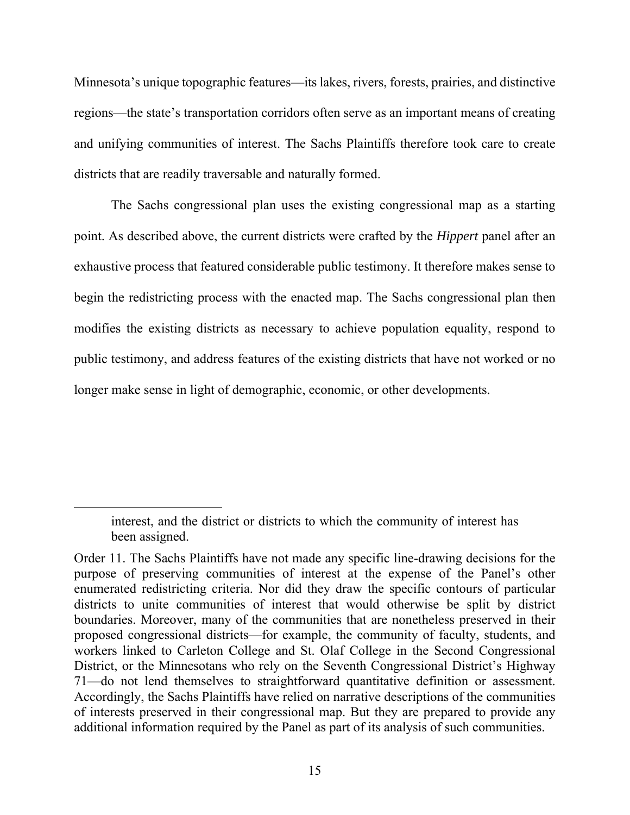Minnesota's unique topographic features—its lakes, rivers, forests, prairies, and distinctive regions—the state's transportation corridors often serve as an important means of creating and unifying communities of interest. The Sachs Plaintiffs therefore took care to create districts that are readily traversable and naturally formed.

The Sachs congressional plan uses the existing congressional map as a starting point. As described above, the current districts were crafted by the *Hippert* panel after an exhaustive process that featured considerable public testimony. It therefore makes sense to begin the redistricting process with the enacted map. The Sachs congressional plan then modifies the existing districts as necessary to achieve population equality, respond to public testimony, and address features of the existing districts that have not worked or no longer make sense in light of demographic, economic, or other developments.

interest, and the district or districts to which the community of interest has been assigned.

Order 11. The Sachs Plaintiffs have not made any specific line-drawing decisions for the purpose of preserving communities of interest at the expense of the Panel's other enumerated redistricting criteria. Nor did they draw the specific contours of particular districts to unite communities of interest that would otherwise be split by district boundaries. Moreover, many of the communities that are nonetheless preserved in their proposed congressional districts—for example, the community of faculty, students, and workers linked to Carleton College and St. Olaf College in the Second Congressional District, or the Minnesotans who rely on the Seventh Congressional District's Highway 71—do not lend themselves to straightforward quantitative definition or assessment. Accordingly, the Sachs Plaintiffs have relied on narrative descriptions of the communities of interests preserved in their congressional map. But they are prepared to provide any additional information required by the Panel as part of its analysis of such communities.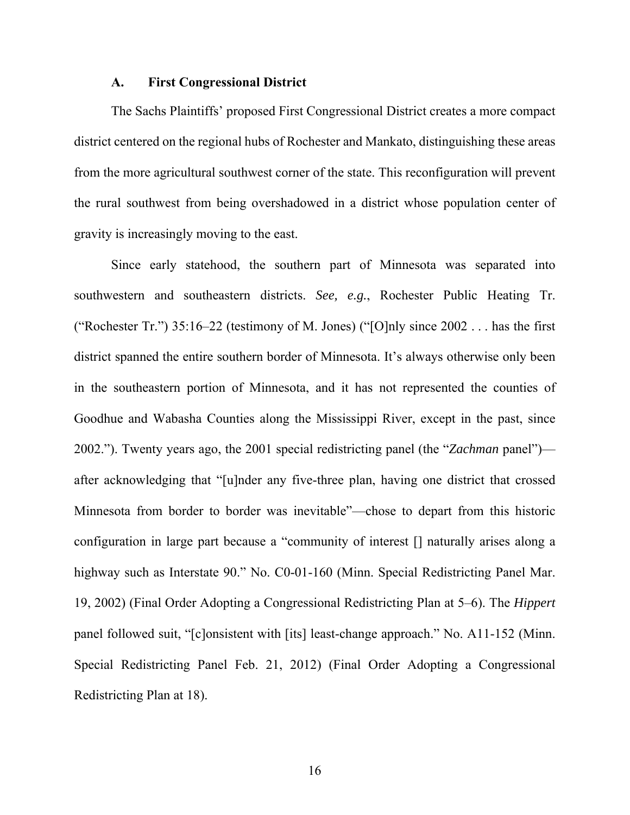#### **A. First Congressional District**

The Sachs Plaintiffs' proposed First Congressional District creates a more compact district centered on the regional hubs of Rochester and Mankato, distinguishing these areas from the more agricultural southwest corner of the state. This reconfiguration will prevent the rural southwest from being overshadowed in a district whose population center of gravity is increasingly moving to the east.

Since early statehood, the southern part of Minnesota was separated into southwestern and southeastern districts. *See, e.g.*, Rochester Public Heating Tr. ("Rochester Tr.") 35:16–22 (testimony of M. Jones) ("[O]nly since  $2002...$  has the first district spanned the entire southern border of Minnesota. It's always otherwise only been in the southeastern portion of Minnesota, and it has not represented the counties of Goodhue and Wabasha Counties along the Mississippi River, except in the past, since 2002."). Twenty years ago, the 2001 special redistricting panel (the "*Zachman* panel") after acknowledging that "[u]nder any five-three plan, having one district that crossed Minnesota from border to border was inevitable"—chose to depart from this historic configuration in large part because a "community of interest [] naturally arises along a highway such as Interstate 90." No. C0-01-160 (Minn. Special Redistricting Panel Mar. 19, 2002) (Final Order Adopting a Congressional Redistricting Plan at 5–6). The *Hippert* panel followed suit, "[c]onsistent with [its] least-change approach." No. A11-152 (Minn. Special Redistricting Panel Feb. 21, 2012) (Final Order Adopting a Congressional Redistricting Plan at 18).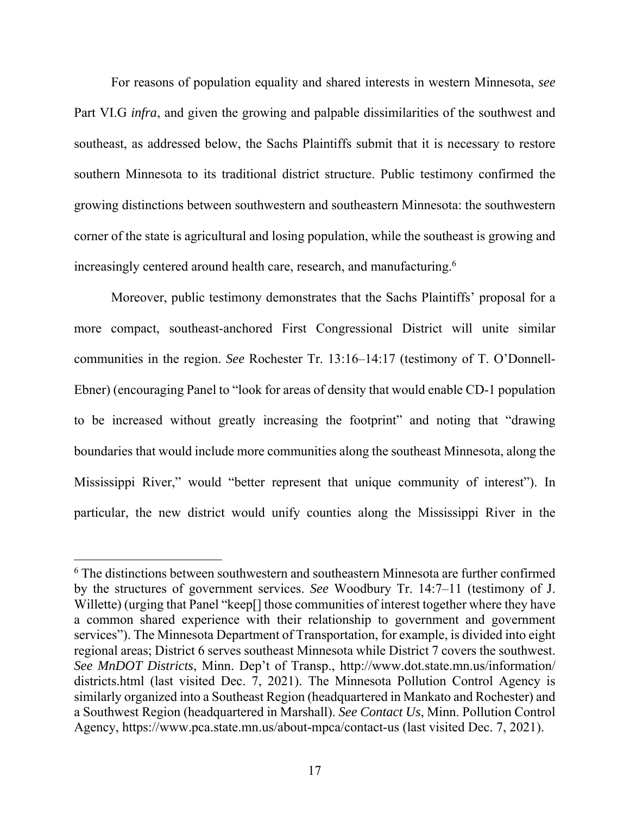For reasons of population equality and shared interests in western Minnesota, *see* Part VI.G *infra*, and given the growing and palpable dissimilarities of the southwest and southeast, as addressed below, the Sachs Plaintiffs submit that it is necessary to restore southern Minnesota to its traditional district structure. Public testimony confirmed the growing distinctions between southwestern and southeastern Minnesota: the southwestern corner of the state is agricultural and losing population, while the southeast is growing and increasingly centered around health care, research, and manufacturing.<sup>6</sup>

Moreover, public testimony demonstrates that the Sachs Plaintiffs' proposal for a more compact, southeast-anchored First Congressional District will unite similar communities in the region. *See* Rochester Tr. 13:16–14:17 (testimony of T. O'Donnell-Ebner) (encouraging Panel to "look for areas of density that would enable CD-1 population to be increased without greatly increasing the footprint" and noting that "drawing boundaries that would include more communities along the southeast Minnesota, along the Mississippi River," would "better represent that unique community of interest"). In particular, the new district would unify counties along the Mississippi River in the

<sup>&</sup>lt;sup>6</sup> The distinctions between southwestern and southeastern Minnesota are further confirmed by the structures of government services. *See* Woodbury Tr. 14:7–11 (testimony of J. Willette) (urging that Panel "keep[] those communities of interest together where they have a common shared experience with their relationship to government and government services"). The Minnesota Department of Transportation, for example, is divided into eight regional areas; District 6 serves southeast Minnesota while District 7 covers the southwest. *See MnDOT Districts*, Minn. Dep't of Transp., http://www.dot.state.mn.us/information/ districts.html (last visited Dec. 7, 2021). The Minnesota Pollution Control Agency is similarly organized into a Southeast Region (headquartered in Mankato and Rochester) and a Southwest Region (headquartered in Marshall). *See Contact Us*, Minn. Pollution Control Agency, https://www.pca.state.mn.us/about-mpca/contact-us (last visited Dec. 7, 2021).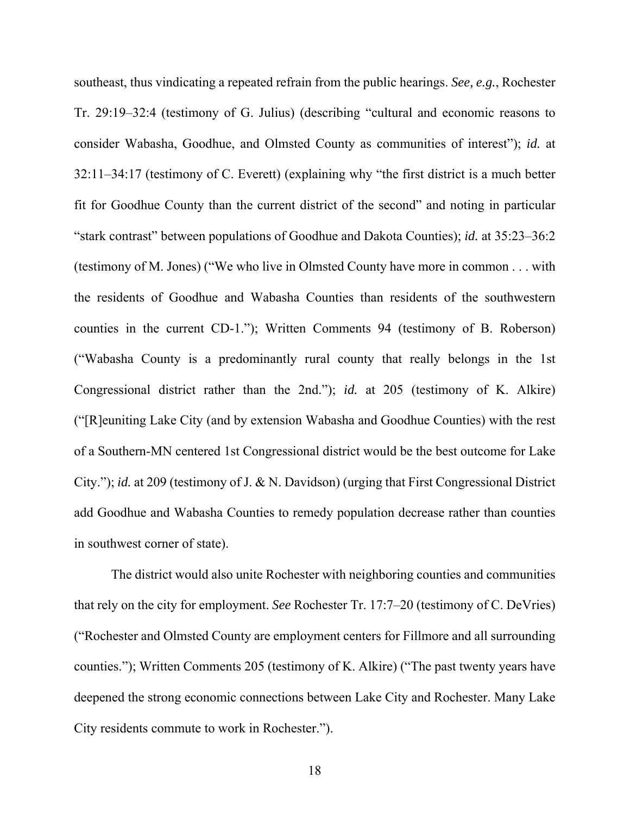southeast, thus vindicating a repeated refrain from the public hearings. *See, e.g.*, Rochester Tr. 29:19–32:4 (testimony of G. Julius) (describing "cultural and economic reasons to consider Wabasha, Goodhue, and Olmsted County as communities of interest"); *id.* at 32:11–34:17 (testimony of C. Everett) (explaining why "the first district is a much better fit for Goodhue County than the current district of the second" and noting in particular "stark contrast" between populations of Goodhue and Dakota Counties); *id.* at 35:23–36:2 (testimony of M. Jones) ("We who live in Olmsted County have more in common . . . with the residents of Goodhue and Wabasha Counties than residents of the southwestern counties in the current CD-1."); Written Comments 94 (testimony of B. Roberson) ("Wabasha County is a predominantly rural county that really belongs in the 1st Congressional district rather than the 2nd."); *id.* at 205 (testimony of K. Alkire) ("[R]euniting Lake City (and by extension Wabasha and Goodhue Counties) with the rest of a Southern‐MN centered 1st Congressional district would be the best outcome for Lake City."); *id.* at 209 (testimony of J. & N. Davidson) (urging that First Congressional District add Goodhue and Wabasha Counties to remedy population decrease rather than counties in southwest corner of state).

The district would also unite Rochester with neighboring counties and communities that rely on the city for employment. *See* Rochester Tr. 17:7–20 (testimony of C. DeVries) ("Rochester and Olmsted County are employment centers for Fillmore and all surrounding counties."); Written Comments 205 (testimony of K. Alkire) ("The past twenty years have deepened the strong economic connections between Lake City and Rochester. Many Lake City residents commute to work in Rochester.").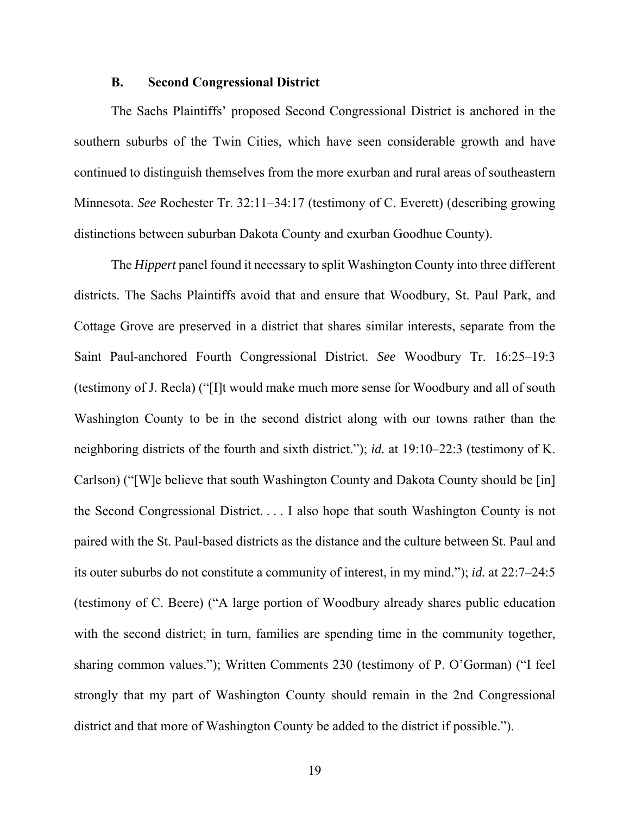#### **B. Second Congressional District**

The Sachs Plaintiffs' proposed Second Congressional District is anchored in the southern suburbs of the Twin Cities, which have seen considerable growth and have continued to distinguish themselves from the more exurban and rural areas of southeastern Minnesota. *See* Rochester Tr. 32:11–34:17 (testimony of C. Everett) (describing growing distinctions between suburban Dakota County and exurban Goodhue County).

The *Hippert* panel found it necessary to split Washington County into three different districts. The Sachs Plaintiffs avoid that and ensure that Woodbury, St. Paul Park, and Cottage Grove are preserved in a district that shares similar interests, separate from the Saint Paul-anchored Fourth Congressional District. *See* Woodbury Tr. 16:25–19:3 (testimony of J. Recla) ("[I]t would make much more sense for Woodbury and all of south Washington County to be in the second district along with our towns rather than the neighboring districts of the fourth and sixth district."); *id.* at 19:10–22:3 (testimony of K. Carlson) ("[W]e believe that south Washington County and Dakota County should be [in] the Second Congressional District. . . . I also hope that south Washington County is not paired with the St. Paul-based districts as the distance and the culture between St. Paul and its outer suburbs do not constitute a community of interest, in my mind."); *id.* at 22:7–24:5 (testimony of C. Beere) ("A large portion of Woodbury already shares public education with the second district; in turn, families are spending time in the community together, sharing common values."); Written Comments 230 (testimony of P. O'Gorman) ("I feel strongly that my part of Washington County should remain in the 2nd Congressional district and that more of Washington County be added to the district if possible.").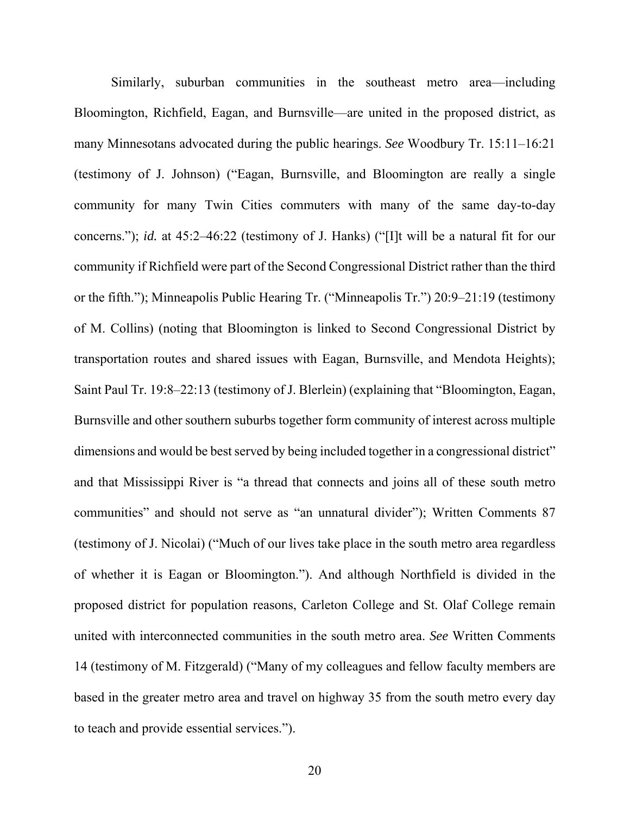Similarly, suburban communities in the southeast metro area—including Bloomington, Richfield, Eagan, and Burnsville—are united in the proposed district, as many Minnesotans advocated during the public hearings. *See* Woodbury Tr. 15:11–16:21 (testimony of J. Johnson) ("Eagan, Burnsville, and Bloomington are really a single community for many Twin Cities commuters with many of the same day-to-day concerns."); *id.* at 45:2–46:22 (testimony of J. Hanks) ("[I]t will be a natural fit for our community if Richfield were part of the Second Congressional District rather than the third or the fifth."); Minneapolis Public Hearing Tr. ("Minneapolis Tr.") 20:9–21:19 (testimony of M. Collins) (noting that Bloomington is linked to Second Congressional District by transportation routes and shared issues with Eagan, Burnsville, and Mendota Heights); Saint Paul Tr. 19:8–22:13 (testimony of J. Blerlein) (explaining that "Bloomington, Eagan, Burnsville and other southern suburbs together form community of interest across multiple dimensions and would be best served by being included together in a congressional district" and that Mississippi River is "a thread that connects and joins all of these south metro communities" and should not serve as "an unnatural divider"); Written Comments 87 (testimony of J. Nicolai) ("Much of our lives take place in the south metro area regardless of whether it is Eagan or Bloomington."). And although Northfield is divided in the proposed district for population reasons, Carleton College and St. Olaf College remain united with interconnected communities in the south metro area. *See* Written Comments 14 (testimony of M. Fitzgerald) ("Many of my colleagues and fellow faculty members are based in the greater metro area and travel on highway 35 from the south metro every day to teach and provide essential services.").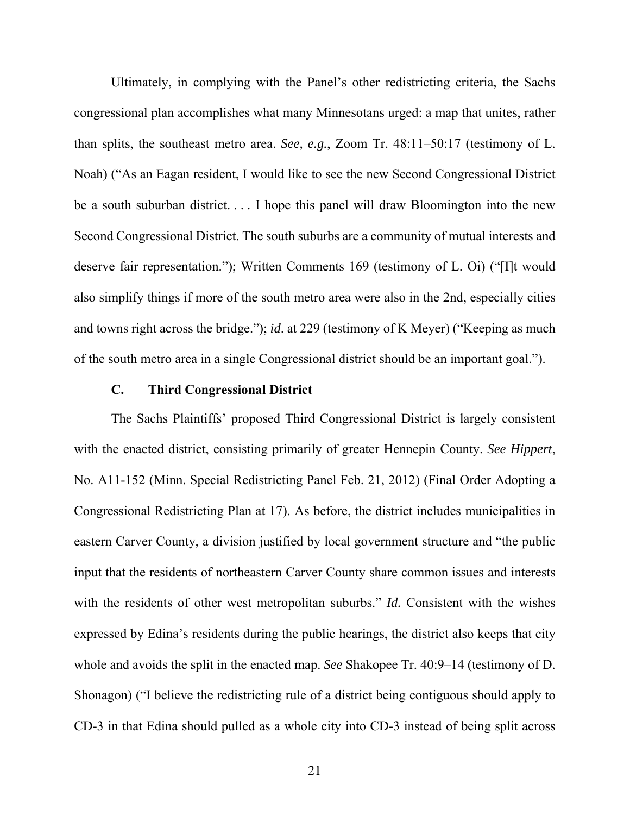Ultimately, in complying with the Panel's other redistricting criteria, the Sachs congressional plan accomplishes what many Minnesotans urged: a map that unites, rather than splits, the southeast metro area. *See, e.g.*, Zoom Tr. 48:11–50:17 (testimony of L. Noah) ("As an Eagan resident, I would like to see the new Second Congressional District be a south suburban district.... I hope this panel will draw Bloomington into the new Second Congressional District. The south suburbs are a community of mutual interests and deserve fair representation."); Written Comments 169 (testimony of L. Oi) ("[I]t would also simplify things if more of the south metro area were also in the 2nd, especially cities and towns right across the bridge."); *id*. at 229 (testimony of K Meyer) ("Keeping as much of the south metro area in a single Congressional district should be an important goal.").

#### **C. Third Congressional District**

The Sachs Plaintiffs' proposed Third Congressional District is largely consistent with the enacted district, consisting primarily of greater Hennepin County. *See Hippert*, No. A11-152 (Minn. Special Redistricting Panel Feb. 21, 2012) (Final Order Adopting a Congressional Redistricting Plan at 17). As before, the district includes municipalities in eastern Carver County, a division justified by local government structure and "the public input that the residents of northeastern Carver County share common issues and interests with the residents of other west metropolitan suburbs." *Id.* Consistent with the wishes expressed by Edina's residents during the public hearings, the district also keeps that city whole and avoids the split in the enacted map. *See* Shakopee Tr. 40:9–14 (testimony of D. Shonagon) ("I believe the redistricting rule of a district being contiguous should apply to CD-3 in that Edina should pulled as a whole city into CD-3 instead of being split across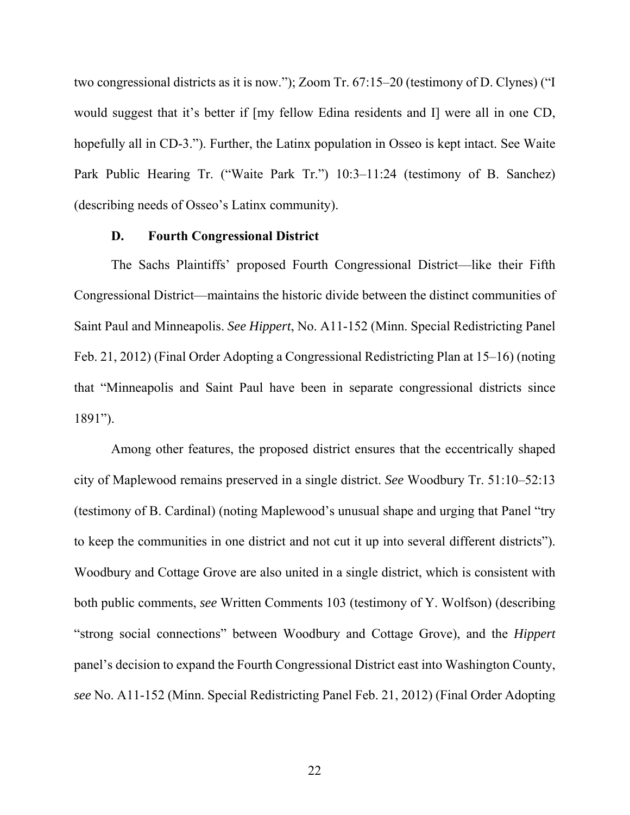two congressional districts as it is now."); Zoom Tr. 67:15–20 (testimony of D. Clynes) ("I would suggest that it's better if [my fellow Edina residents and I] were all in one CD, hopefully all in CD-3."). Further, the Latinx population in Osseo is kept intact. See Waite Park Public Hearing Tr. ("Waite Park Tr.") 10:3–11:24 (testimony of B. Sanchez) (describing needs of Osseo's Latinx community).

#### **D. Fourth Congressional District**

The Sachs Plaintiffs' proposed Fourth Congressional District—like their Fifth Congressional District—maintains the historic divide between the distinct communities of Saint Paul and Minneapolis. *See Hippert*, No. A11-152 (Minn. Special Redistricting Panel Feb. 21, 2012) (Final Order Adopting a Congressional Redistricting Plan at 15–16) (noting that "Minneapolis and Saint Paul have been in separate congressional districts since 1891").

Among other features, the proposed district ensures that the eccentrically shaped city of Maplewood remains preserved in a single district. *See* Woodbury Tr. 51:10–52:13 (testimony of B. Cardinal) (noting Maplewood's unusual shape and urging that Panel "try to keep the communities in one district and not cut it up into several different districts"). Woodbury and Cottage Grove are also united in a single district, which is consistent with both public comments, *see* Written Comments 103 (testimony of Y. Wolfson) (describing "strong social connections" between Woodbury and Cottage Grove), and the *Hippert* panel's decision to expand the Fourth Congressional District east into Washington County, *see* No. A11-152 (Minn. Special Redistricting Panel Feb. 21, 2012) (Final Order Adopting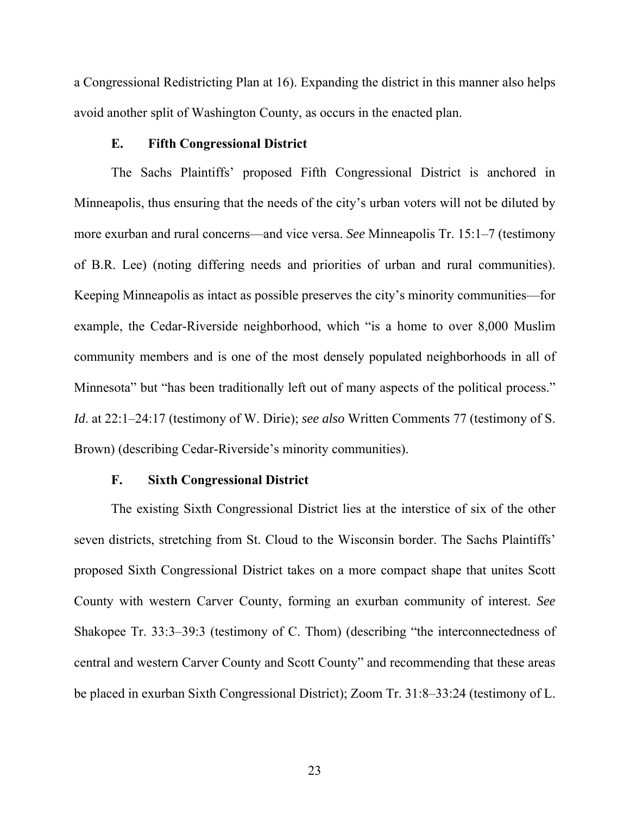a Congressional Redistricting Plan at 16). Expanding the district in this manner also helps avoid another split of Washington County, as occurs in the enacted plan.

### **E. Fifth Congressional District**

The Sachs Plaintiffs' proposed Fifth Congressional District is anchored in Minneapolis, thus ensuring that the needs of the city's urban voters will not be diluted by more exurban and rural concerns—and vice versa. *See* Minneapolis Tr. 15:1–7 (testimony of B.R. Lee) (noting differing needs and priorities of urban and rural communities). Keeping Minneapolis as intact as possible preserves the city's minority communities—for example, the Cedar-Riverside neighborhood, which "is a home to over 8,000 Muslim community members and is one of the most densely populated neighborhoods in all of Minnesota" but "has been traditionally left out of many aspects of the political process." *Id*. at 22:1–24:17 (testimony of W. Dirie); *see also* Written Comments 77 (testimony of S. Brown) (describing Cedar-Riverside's minority communities).

#### **F. Sixth Congressional District**

The existing Sixth Congressional District lies at the interstice of six of the other seven districts, stretching from St. Cloud to the Wisconsin border. The Sachs Plaintiffs' proposed Sixth Congressional District takes on a more compact shape that unites Scott County with western Carver County, forming an exurban community of interest. *See* Shakopee Tr. 33:3–39:3 (testimony of C. Thom) (describing "the interconnectedness of central and western Carver County and Scott County" and recommending that these areas be placed in exurban Sixth Congressional District); Zoom Tr. 31:8–33:24 (testimony of L.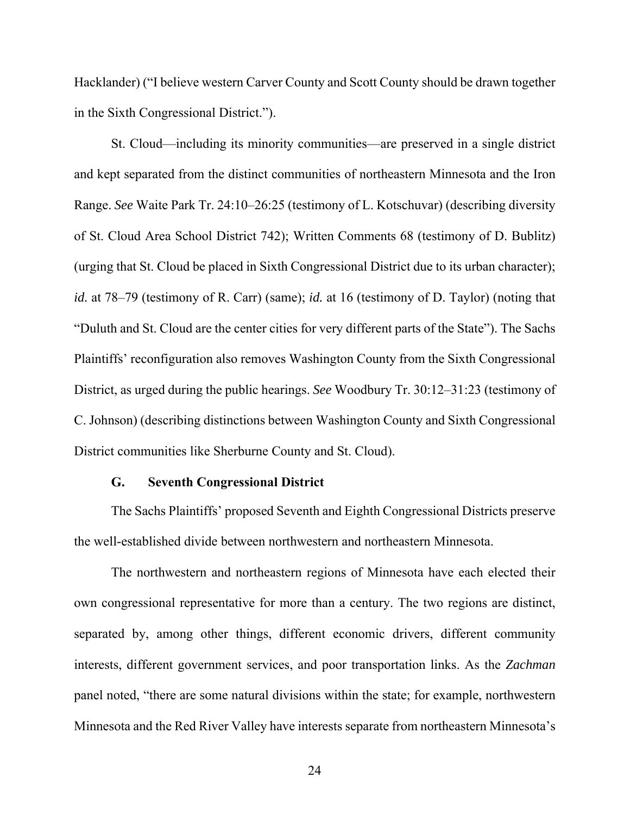Hacklander) ("I believe western Carver County and Scott County should be drawn together in the Sixth Congressional District.").

St. Cloud—including its minority communities—are preserved in a single district and kept separated from the distinct communities of northeastern Minnesota and the Iron Range. *See* Waite Park Tr. 24:10–26:25 (testimony of L. Kotschuvar) (describing diversity of St. Cloud Area School District 742); Written Comments 68 (testimony of D. Bublitz) (urging that St. Cloud be placed in Sixth Congressional District due to its urban character); *id.* at 78–79 (testimony of R. Carr) (same); *id.* at 16 (testimony of D. Taylor) (noting that "Duluth and St. Cloud are the center cities for very different parts of the State"). The Sachs Plaintiffs' reconfiguration also removes Washington County from the Sixth Congressional District, as urged during the public hearings. *See* Woodbury Tr. 30:12–31:23 (testimony of C. Johnson) (describing distinctions between Washington County and Sixth Congressional District communities like Sherburne County and St. Cloud).

#### **G. Seventh Congressional District**

The Sachs Plaintiffs' proposed Seventh and Eighth Congressional Districts preserve the well-established divide between northwestern and northeastern Minnesota.

The northwestern and northeastern regions of Minnesota have each elected their own congressional representative for more than a century. The two regions are distinct, separated by, among other things, different economic drivers, different community interests, different government services, and poor transportation links. As the *Zachman* panel noted, "there are some natural divisions within the state; for example, northwestern Minnesota and the Red River Valley have interests separate from northeastern Minnesota's

24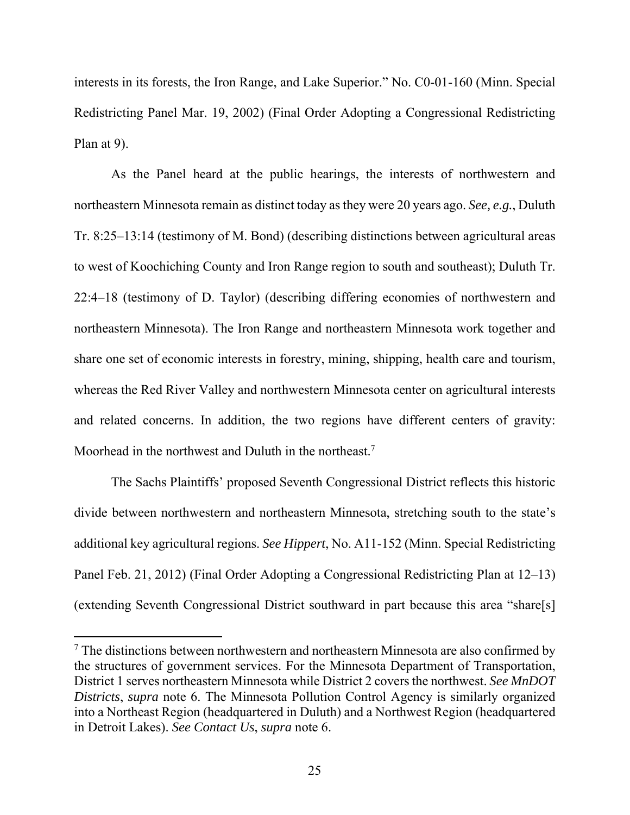interests in its forests, the Iron Range, and Lake Superior." No. C0-01-160 (Minn. Special Redistricting Panel Mar. 19, 2002) (Final Order Adopting a Congressional Redistricting Plan at 9).

As the Panel heard at the public hearings, the interests of northwestern and northeastern Minnesota remain as distinct today as they were 20 years ago. *See, e.g.*, Duluth Tr. 8:25–13:14 (testimony of M. Bond) (describing distinctions between agricultural areas to west of Koochiching County and Iron Range region to south and southeast); Duluth Tr. 22:4–18 (testimony of D. Taylor) (describing differing economies of northwestern and northeastern Minnesota). The Iron Range and northeastern Minnesota work together and share one set of economic interests in forestry, mining, shipping, health care and tourism, whereas the Red River Valley and northwestern Minnesota center on agricultural interests and related concerns. In addition, the two regions have different centers of gravity: Moorhead in the northwest and Duluth in the northeast.<sup>7</sup>

The Sachs Plaintiffs' proposed Seventh Congressional District reflects this historic divide between northwestern and northeastern Minnesota, stretching south to the state's additional key agricultural regions. *See Hippert*, No. A11-152 (Minn. Special Redistricting Panel Feb. 21, 2012) (Final Order Adopting a Congressional Redistricting Plan at 12–13) (extending Seventh Congressional District southward in part because this area "share[s]

 $7$  The distinctions between northwestern and northeastern Minnesota are also confirmed by the structures of government services. For the Minnesota Department of Transportation, District 1 serves northeastern Minnesota while District 2 covers the northwest. *See MnDOT Districts*, *supra* note 6. The Minnesota Pollution Control Agency is similarly organized into a Northeast Region (headquartered in Duluth) and a Northwest Region (headquartered in Detroit Lakes). *See Contact Us*, *supra* note 6.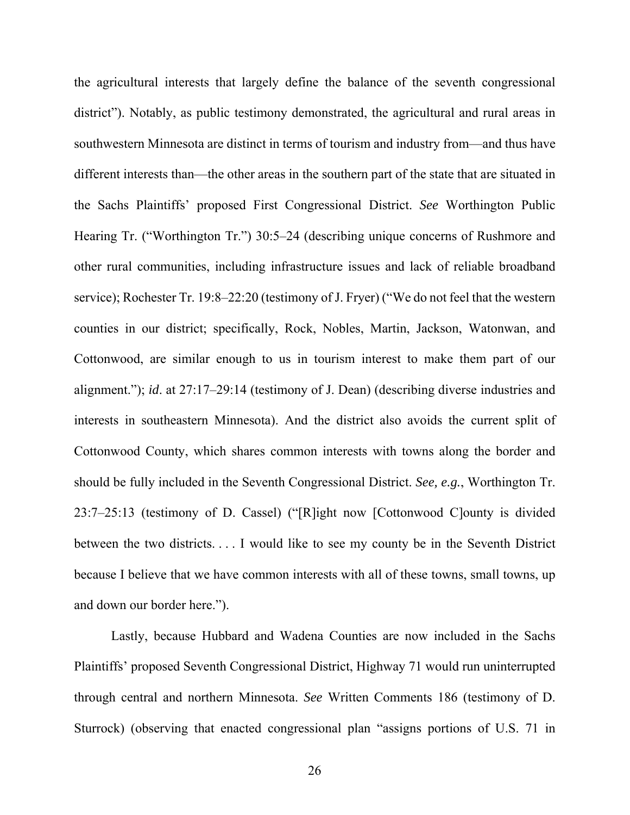the agricultural interests that largely define the balance of the seventh congressional district"). Notably, as public testimony demonstrated, the agricultural and rural areas in southwestern Minnesota are distinct in terms of tourism and industry from—and thus have different interests than—the other areas in the southern part of the state that are situated in the Sachs Plaintiffs' proposed First Congressional District. *See* Worthington Public Hearing Tr. ("Worthington Tr.") 30:5–24 (describing unique concerns of Rushmore and other rural communities, including infrastructure issues and lack of reliable broadband service); Rochester Tr. 19:8–22:20 (testimony of J. Fryer) ("We do not feel that the western counties in our district; specifically, Rock, Nobles, Martin, Jackson, Watonwan, and Cottonwood, are similar enough to us in tourism interest to make them part of our alignment."); *id*. at 27:17–29:14 (testimony of J. Dean) (describing diverse industries and interests in southeastern Minnesota). And the district also avoids the current split of Cottonwood County, which shares common interests with towns along the border and should be fully included in the Seventh Congressional District. *See, e.g.*, Worthington Tr. 23:7–25:13 (testimony of D. Cassel) ("[R]ight now [Cottonwood C]ounty is divided between the two districts. . . . I would like to see my county be in the Seventh District because I believe that we have common interests with all of these towns, small towns, up and down our border here.").

Lastly, because Hubbard and Wadena Counties are now included in the Sachs Plaintiffs' proposed Seventh Congressional District, Highway 71 would run uninterrupted through central and northern Minnesota. *See* Written Comments 186 (testimony of D. Sturrock) (observing that enacted congressional plan "assigns portions of U.S. 71 in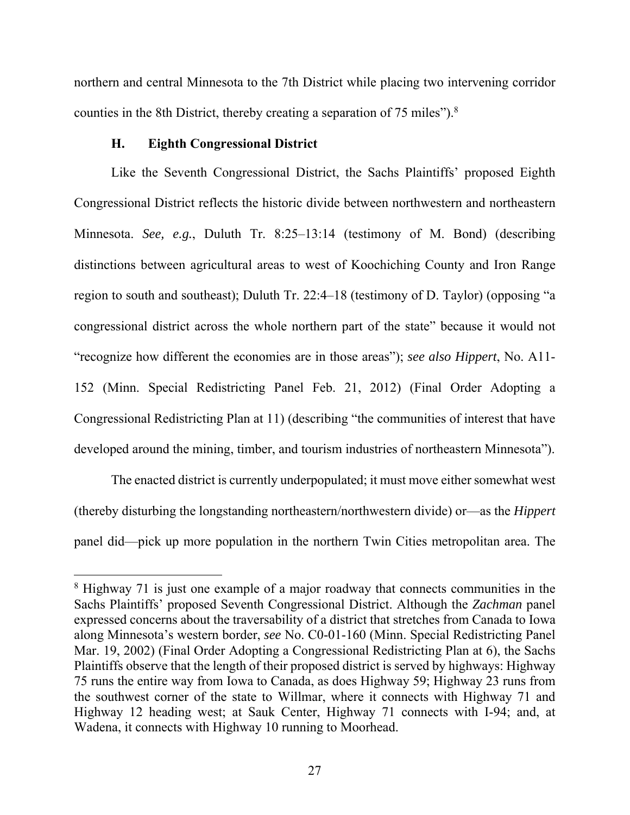northern and central Minnesota to the 7th District while placing two intervening corridor counties in the 8th District, thereby creating a separation of 75 miles").<sup>8</sup>

## **H. Eighth Congressional District**

 $\overline{a}$ 

Like the Seventh Congressional District, the Sachs Plaintiffs' proposed Eighth Congressional District reflects the historic divide between northwestern and northeastern Minnesota. *See, e.g.*, Duluth Tr. 8:25–13:14 (testimony of M. Bond) (describing distinctions between agricultural areas to west of Koochiching County and Iron Range region to south and southeast); Duluth Tr. 22:4–18 (testimony of D. Taylor) (opposing "a congressional district across the whole northern part of the state" because it would not "recognize how different the economies are in those areas"); *see also Hippert*, No. A11- 152 (Minn. Special Redistricting Panel Feb. 21, 2012) (Final Order Adopting a Congressional Redistricting Plan at 11) (describing "the communities of interest that have developed around the mining, timber, and tourism industries of northeastern Minnesota").

The enacted district is currently underpopulated; it must move either somewhat west (thereby disturbing the longstanding northeastern/northwestern divide) or—as the *Hippert*  panel did—pick up more population in the northern Twin Cities metropolitan area. The

<sup>&</sup>lt;sup>8</sup> Highway 71 is just one example of a major roadway that connects communities in the Sachs Plaintiffs' proposed Seventh Congressional District. Although the *Zachman* panel expressed concerns about the traversability of a district that stretches from Canada to Iowa along Minnesota's western border, *see* No. C0-01-160 (Minn. Special Redistricting Panel Mar. 19, 2002) (Final Order Adopting a Congressional Redistricting Plan at 6), the Sachs Plaintiffs observe that the length of their proposed district is served by highways: Highway 75 runs the entire way from Iowa to Canada, as does Highway 59; Highway 23 runs from the southwest corner of the state to Willmar, where it connects with Highway 71 and Highway 12 heading west; at Sauk Center, Highway 71 connects with I-94; and, at Wadena, it connects with Highway 10 running to Moorhead.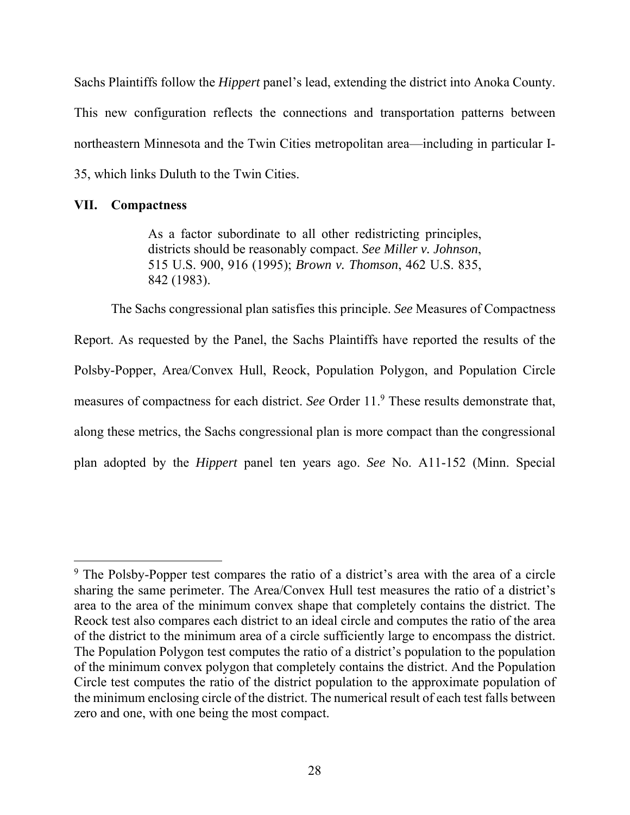Sachs Plaintiffs follow the *Hippert* panel's lead, extending the district into Anoka County. This new configuration reflects the connections and transportation patterns between northeastern Minnesota and the Twin Cities metropolitan area—including in particular I-35, which links Duluth to the Twin Cities.

### **VII. Compactness**

 $\overline{a}$ 

As a factor subordinate to all other redistricting principles, districts should be reasonably compact. *See Miller v. Johnson*, 515 U.S. 900, 916 (1995); *Brown v. Thomson*, 462 U.S. 835, 842 (1983).

The Sachs congressional plan satisfies this principle. *See* Measures of Compactness Report. As requested by the Panel, the Sachs Plaintiffs have reported the results of the Polsby-Popper, Area/Convex Hull, Reock, Population Polygon, and Population Circle measures of compactness for each district. *See* Order 11.<sup>9</sup> These results demonstrate that, along these metrics, the Sachs congressional plan is more compact than the congressional plan adopted by the *Hippert* panel ten years ago. *See* No. A11-152 (Minn. Special

<sup>&</sup>lt;sup>9</sup> The Polsby-Popper test compares the ratio of a district's area with the area of a circle sharing the same perimeter. The Area/Convex Hull test measures the ratio of a district's area to the area of the minimum convex shape that completely contains the district. The Reock test also compares each district to an ideal circle and computes the ratio of the area of the district to the minimum area of a circle sufficiently large to encompass the district. The Population Polygon test computes the ratio of a district's population to the population of the minimum convex polygon that completely contains the district. And the Population Circle test computes the ratio of the district population to the approximate population of the minimum enclosing circle of the district. The numerical result of each test falls between zero and one, with one being the most compact.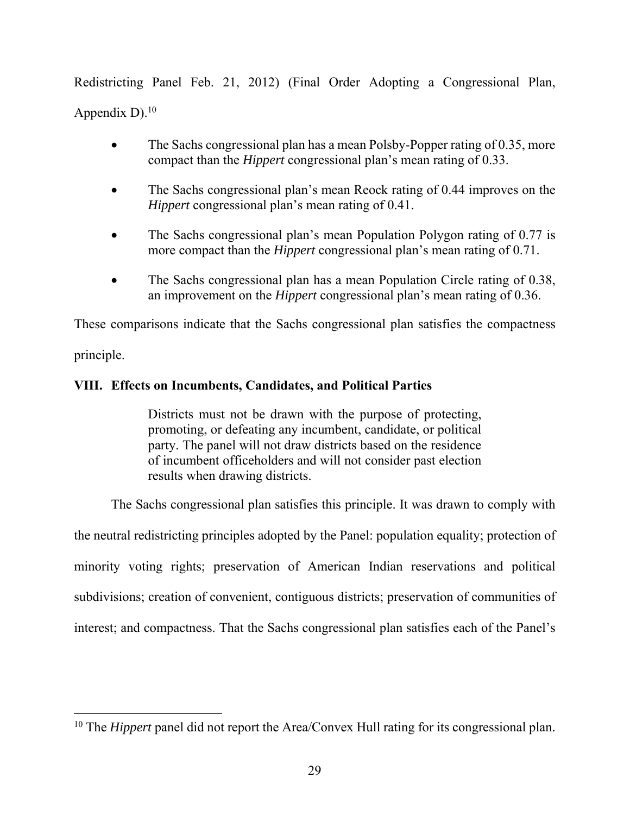Redistricting Panel Feb. 21, 2012) (Final Order Adopting a Congressional Plan, Appendix  $D$ ).<sup>10</sup>

- The Sachs congressional plan has a mean Polsby-Popper rating of 0.35, more compact than the *Hippert* congressional plan's mean rating of 0.33.
- The Sachs congressional plan's mean Reock rating of 0.44 improves on the *Hippert* congressional plan's mean rating of 0.41.
- The Sachs congressional plan's mean Population Polygon rating of 0.77 is more compact than the *Hippert* congressional plan's mean rating of 0.71.
- The Sachs congressional plan has a mean Population Circle rating of 0.38, an improvement on the *Hippert* congressional plan's mean rating of 0.36.

These comparisons indicate that the Sachs congressional plan satisfies the compactness

principle.

 $\overline{a}$ 

# **VIII. Effects on Incumbents, Candidates, and Political Parties**

Districts must not be drawn with the purpose of protecting, promoting, or defeating any incumbent, candidate, or political party. The panel will not draw districts based on the residence of incumbent officeholders and will not consider past election results when drawing districts.

The Sachs congressional plan satisfies this principle. It was drawn to comply with the neutral redistricting principles adopted by the Panel: population equality; protection of minority voting rights; preservation of American Indian reservations and political subdivisions; creation of convenient, contiguous districts; preservation of communities of interest; and compactness. That the Sachs congressional plan satisfies each of the Panel's

<sup>&</sup>lt;sup>10</sup> The *Hippert* panel did not report the Area/Convex Hull rating for its congressional plan.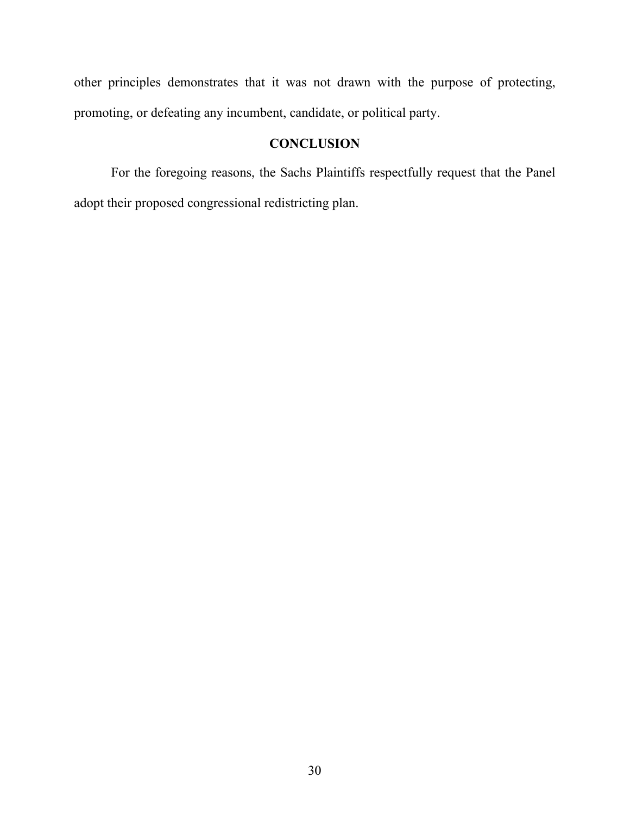other principles demonstrates that it was not drawn with the purpose of protecting, promoting, or defeating any incumbent, candidate, or political party.

# **CONCLUSION**

For the foregoing reasons, the Sachs Plaintiffs respectfully request that the Panel adopt their proposed congressional redistricting plan.